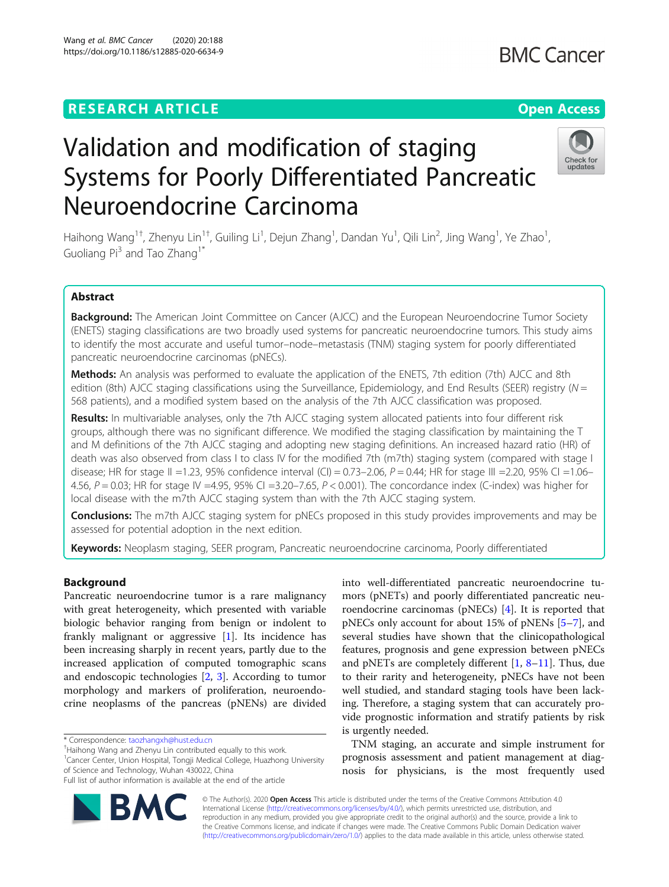# Validation and modification of staging Systems for Poorly Differentiated Pancreatic Neuroendocrine Carcinoma

Haihong Wang<sup>1†</sup>, Zhenyu Lin<sup>1†</sup>, Guiling Li<sup>1</sup>, Dejun Zhang<sup>1</sup>, Dandan Yu<sup>1</sup>, Qili Lin<sup>2</sup>, Jing Wang<sup>1</sup>, Ye Zhao<sup>1</sup> , Guoliang Pi<sup>3</sup> and Tao Zhang<sup>1\*</sup>

# Abstract

Background: The American Joint Committee on Cancer (AJCC) and the European Neuroendocrine Tumor Society (ENETS) staging classifications are two broadly used systems for pancreatic neuroendocrine tumors. This study aims to identify the most accurate and useful tumor–node–metastasis (TNM) staging system for poorly differentiated pancreatic neuroendocrine carcinomas (pNECs).

Methods: An analysis was performed to evaluate the application of the ENETS, 7th edition (7th) AJCC and 8th edition (8th) AJCC staging classifications using the Surveillance, Epidemiology, and End Results (SEER) registry ( $N =$ 568 patients), and a modified system based on the analysis of the 7th AJCC classification was proposed.

Results: In multivariable analyses, only the 7th AJCC staging system allocated patients into four different risk groups, although there was no significant difference. We modified the staging classification by maintaining the T and M definitions of the 7th AJCC staging and adopting new staging definitions. An increased hazard ratio (HR) of death was also observed from class I to class IV for the modified 7th (m7th) staging system (compared with stage I disease; HR for stage II =1.23, 95% confidence interval (CI) = 0.73–2.06, P = 0.44; HR for stage III =2.20, 95% CI =1.06– 4.56,  $P = 0.03$ ; HR for stage IV = 4.95, 95% CI = 3.20–7.65,  $P < 0.001$ ). The concordance index (C-index) was higher for local disease with the m7th AJCC staging system than with the 7th AJCC staging system.

**Conclusions:** The m7th AJCC staging system for pNECs proposed in this study provides improvements and may be assessed for potential adoption in the next edition.

Keywords: Neoplasm staging, SEER program, Pancreatic neuroendocrine carcinoma, Poorly differentiated

# Background

Pancreatic neuroendocrine tumor is a rare malignancy with great heterogeneity, which presented with variable biologic behavior ranging from benign or indolent to frankly malignant or aggressive [\[1\]](#page-7-0). Its incidence has been increasing sharply in recent years, partly due to the increased application of computed tomographic scans and endoscopic technologies [\[2](#page-7-0), [3](#page-7-0)]. According to tumor morphology and markers of proliferation, neuroendocrine neoplasms of the pancreas (pNENs) are divided

\* Correspondence: [taozhangxh@hust.edu.cn](mailto:taozhangxh@hust.edu.cn) †

<sup>1</sup> Cancer Center, Union Hospital, Tongji Medical College, Huazhong University of Science and Technology, Wuhan 430022, China

mors (pNETs) and poorly differentiated pancreatic neuroendocrine carcinomas (pNECs) [[4\]](#page-7-0). It is reported that pNECs only account for about 15% of pNENs [\[5](#page-7-0)–[7](#page-7-0)], and several studies have shown that the clinicopathological features, prognosis and gene expression between pNECs and pNETs are completely different [\[1](#page-7-0), [8](#page-7-0)–[11](#page-7-0)]. Thus, due to their rarity and heterogeneity, pNECs have not been well studied, and standard staging tools have been lacking. Therefore, a staging system that can accurately provide prognostic information and stratify patients by risk is urgently needed.

into well-differentiated pancreatic neuroendocrine tu-

TNM staging, an accurate and simple instrument for prognosis assessment and patient management at diagnosis for physicians, is the most frequently used

© The Author(s). 2020 Open Access This article is distributed under the terms of the Creative Commons Attribution 4.0 International License [\(http://creativecommons.org/licenses/by/4.0/](http://creativecommons.org/licenses/by/4.0/)), which permits unrestricted use, distribution, and reproduction in any medium, provided you give appropriate credit to the original author(s) and the source, provide a link to the Creative Commons license, and indicate if changes were made. The Creative Commons Public Domain Dedication waiver [\(http://creativecommons.org/publicdomain/zero/1.0/](http://creativecommons.org/publicdomain/zero/1.0/)) applies to the data made available in this article, unless otherwise stated.





<sup>&</sup>lt;sup>+</sup>Haihong Wang and Zhenyu Lin contributed equally to this work.

Full list of author information is available at the end of the article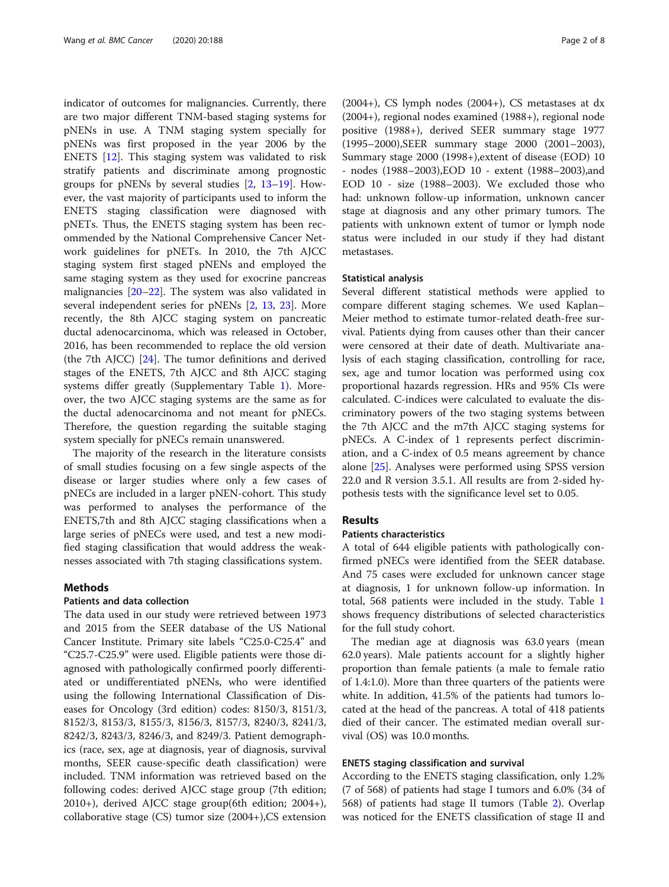indicator of outcomes for malignancies. Currently, there are two major different TNM-based staging systems for pNENs in use. A TNM staging system specially for pNENs was first proposed in the year 2006 by the ENETS [\[12](#page-7-0)]. This staging system was validated to risk stratify patients and discriminate among prognostic groups for pNENs by several studies [[2,](#page-7-0) [13](#page-7-0)–[19\]](#page-7-0). However, the vast majority of participants used to inform the ENETS staging classification were diagnosed with pNETs. Thus, the ENETS staging system has been recommended by the National Comprehensive Cancer Network guidelines for pNETs. In 2010, the 7th AJCC staging system first staged pNENs and employed the same staging system as they used for exocrine pancreas malignancies [[20](#page-7-0)–[22](#page-7-0)]. The system was also validated in several independent series for pNENs [\[2,](#page-7-0) [13,](#page-7-0) [23\]](#page-7-0). More recently, the 8th AJCC staging system on pancreatic ductal adenocarcinoma, which was released in October, 2016, has been recommended to replace the old version (the 7th AJCC) [[24\]](#page-7-0). The tumor definitions and derived stages of the ENETS, 7th AJCC and 8th AJCC staging systems differ greatly (Supplementary Table [1](#page-6-0)). Moreover, the two AJCC staging systems are the same as for the ductal adenocarcinoma and not meant for pNECs. Therefore, the question regarding the suitable staging system specially for pNECs remain unanswered.

The majority of the research in the literature consists of small studies focusing on a few single aspects of the disease or larger studies where only a few cases of pNECs are included in a larger pNEN-cohort. This study was performed to analyses the performance of the ENETS,7th and 8th AJCC staging classifications when a large series of pNECs were used, and test a new modified staging classification that would address the weaknesses associated with 7th staging classifications system.

#### Methods

# Patients and data collection

The data used in our study were retrieved between 1973 and 2015 from the SEER database of the US National Cancer Institute. Primary site labels "C25.0-C25.4" and "C25.7-C25.9" were used. Eligible patients were those diagnosed with pathologically confirmed poorly differentiated or undifferentiated pNENs, who were identified using the following International Classification of Diseases for Oncology (3rd edition) codes: 8150/3, 8151/3, 8152/3, 8153/3, 8155/3, 8156/3, 8157/3, 8240/3, 8241/3, 8242/3, 8243/3, 8246/3, and 8249/3. Patient demographics (race, sex, age at diagnosis, year of diagnosis, survival months, SEER cause-specific death classification) were included. TNM information was retrieved based on the following codes: derived AJCC stage group (7th edition; 2010+), derived AJCC stage group(6th edition; 2004+), collaborative stage (CS) tumor size (2004+),CS extension

(2004+), CS lymph nodes (2004+), CS metastases at dx (2004+), regional nodes examined (1988+), regional node positive (1988+), derived SEER summary stage 1977 (1995–2000),SEER summary stage 2000 (2001–2003), Summary stage 2000 (1998+),extent of disease (EOD) 10 - nodes (1988–2003),EOD 10 - extent (1988–2003),and EOD 10 - size (1988–2003). We excluded those who had: unknown follow-up information, unknown cancer stage at diagnosis and any other primary tumors. The patients with unknown extent of tumor or lymph node status were included in our study if they had distant metastases.

### Statistical analysis

Several different statistical methods were applied to compare different staging schemes. We used Kaplan– Meier method to estimate tumor-related death-free survival. Patients dying from causes other than their cancer were censored at their date of death. Multivariate analysis of each staging classification, controlling for race, sex, age and tumor location was performed using cox proportional hazards regression. HRs and 95% CIs were calculated. C-indices were calculated to evaluate the discriminatory powers of the two staging systems between the 7th AJCC and the m7th AJCC staging systems for pNECs. A C-index of 1 represents perfect discrimination, and a C-index of 0.5 means agreement by chance alone [\[25](#page-7-0)]. Analyses were performed using SPSS version 22.0 and R version 3.5.1. All results are from 2-sided hypothesis tests with the significance level set to 0.05.

# Results

# Patients characteristics

A total of 644 eligible patients with pathologically confirmed pNECs were identified from the SEER database. And 75 cases were excluded for unknown cancer stage at diagnosis, 1 for unknown follow-up information. In total, 568 patients were included in the study. Table [1](#page-2-0) shows frequency distributions of selected characteristics for the full study cohort.

The median age at diagnosis was 63.0 years (mean 62.0 years). Male patients account for a slightly higher proportion than female patients (a male to female ratio of 1.4:1.0). More than three quarters of the patients were white. In addition, 41.5% of the patients had tumors located at the head of the pancreas. A total of 418 patients died of their cancer. The estimated median overall survival (OS) was 10.0 months.

# ENETS staging classification and survival

According to the ENETS staging classification, only 1.2% (7 of 568) of patients had stage I tumors and 6.0% (34 of 568) of patients had stage II tumors (Table [2\)](#page-2-0). Overlap was noticed for the ENETS classification of stage II and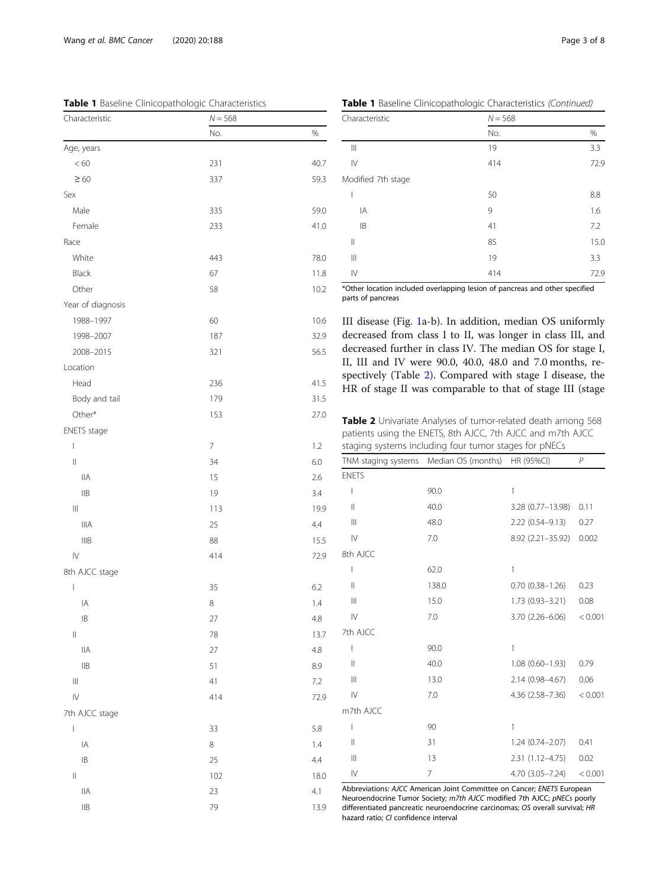<span id="page-2-0"></span>Table 1 Baseline Clinicopathologic Characteristics

| Characteristic                        | $N = 568$                |         |  |
|---------------------------------------|--------------------------|---------|--|
|                                       | No.                      | $\%$    |  |
| Age, years                            |                          |         |  |
| < 60                                  | 231                      | 40.7    |  |
| $\geq 60$                             | 337                      | 59.3    |  |
| Sex                                   |                          |         |  |
| Male                                  | 335                      | 59.0    |  |
| Female                                | 233                      | 41.0    |  |
| Race                                  |                          |         |  |
| White                                 | 443                      | 78.0    |  |
| Black                                 | 67                       | 11.8    |  |
| Other                                 | 58                       | 10.2    |  |
| Year of diagnosis                     |                          |         |  |
| 1988-1997                             | 60                       | 10.6    |  |
| 1998-2007                             | 187                      | 32.9    |  |
| 2008-2015                             | 321                      | 56.5    |  |
| Location                              |                          |         |  |
| Head                                  | 236                      | 41.5    |  |
| Body and tail                         | 179                      | 31.5    |  |
| Other*                                | 153                      | 27.0    |  |
| ENETS stage                           |                          |         |  |
| L                                     | $\overline{\phantom{a}}$ | 1.2     |  |
| $\begin{array}{c} \hline \end{array}$ | 34                       | 6.0     |  |
| <b>IIA</b>                            | 15                       | 2.6     |  |
| $\mathsf{IIB}$                        | 19                       | 3.4     |  |
| $\vert\vert\vert$                     | 113                      | 19.9    |  |
| <b>IIIA</b>                           | 25                       | 4.4     |  |
| IIIB                                  | 88                       | 15.5    |  |
| ${\sf IV}$                            | 414                      | 72.9    |  |
| 8th AJCC stage                        |                          |         |  |
| I                                     | 35                       | 6.2     |  |
| IA                                    | 8                        | 1.4     |  |
| $\mathsf{IB}$                         | 2/                       | 4.8     |  |
| $\mid \mid$                           | 78                       | 13.7    |  |
| <b>IIA</b>                            | 27                       | 4.8     |  |
| $\mathsf{IIB}$                        | 51                       | 8.9     |  |
| $\left\vert \right\vert \right\vert$  | 41                       | $7.2\,$ |  |
| $\overline{\vee}$                     | 414                      | 72.9    |  |
| 7th AJCC stage                        |                          |         |  |
| $\vert$                               | 33                       | 5.8     |  |
| IA                                    | 8                        | 1.4     |  |
| $\mathsf{IB}$                         | 25                       | 4.4     |  |
| $\vert\vert$                          | 102                      | 18.0    |  |
| <b>IIA</b>                            | 23                       | 4.1     |  |
| $\mathsf{IIB}$                        | 79                       | 13.9    |  |

Table 1 Baseline Clinicopathologic Characteristics (Continued)

| Characteristic                        | $N = 568$ | %    |  |
|---------------------------------------|-----------|------|--|
|                                       | No.       |      |  |
| $\parallel \parallel$                 | 19        | 3.3  |  |
| $\mathsf{IV}$                         | 414       | 72.9 |  |
| Modified 7th stage                    |           |      |  |
| I                                     | 50        | 8.8  |  |
| IA                                    | 9         | 1.6  |  |
| IB                                    | 41        | 7.2  |  |
| $\mathsf{II}$                         | 85        | 15.0 |  |
| $\begin{array}{c} \hline \end{array}$ | 19        | 3.3  |  |
| $\mathsf{IV}$                         | 414       | 72.9 |  |

\*Other location included overlapping lesion of pancreas and other specified parts of pancreas

III disease (Fig. [1a](#page-3-0)-b). In addition, median OS uniformly decreased from class I to II, was longer in class III, and decreased further in class IV. The median OS for stage I, II, III and IV were 90.0, 40.0, 48.0 and 7.0 months, respectively (Table 2). Compared with stage I disease, the HR of stage II was comparable to that of stage III (stage

Table 2 Univariate Analyses of tumor-related death among 568 patients using the ENETS, 8th AJCC, 7th AJCC and m7th AJCC staging systems including four tumor stages for pNECs

|                | TNM staging systems Median OS (months) HR (95%CI) |                        | $\overline{P}$ |  |
|----------------|---------------------------------------------------|------------------------|----------------|--|
| <b>ENETS</b>   |                                                   |                        |                |  |
| I              | 90.0                                              | 1                      |                |  |
| $\mathbf{  }$  | 40.0                                              | 3.28 (0.77-13.98)      | 0.11           |  |
| $\mathbb{H}$   | 48.0                                              | 2.22 (0.54-9.13)       | 0.27           |  |
| $\mathsf{IV}$  | 7.0                                               | 8.92 (2.21-35.92)      | 0.002          |  |
| 8th AJCC       |                                                   |                        |                |  |
| I              | 62.0                                              | 1                      |                |  |
| $\mathbf{  }$  | 138.0                                             | $0.70$ $(0.38 - 1.26)$ | 0.23           |  |
| Ш              | 15.0                                              | $1.73(0.93 - 3.21)$    | 0.08           |  |
| $\mathsf{IV}$  | 7.0                                               | $3.70(2.26 - 6.06)$    | < 0.001        |  |
| 7th AJCC       |                                                   |                        |                |  |
| I              | 90.0                                              | 1                      |                |  |
| $\mathbb{I}$   | 40.0                                              | $1.08(0.60 - 1.93)$    | 0.79           |  |
| $\mathbf{III}$ | 13.0                                              | 2.14 (0.98-4.67)       | 0.06           |  |
| $\mathsf{IV}$  | 7.0                                               | $4.36(2.58 - 7.36)$    | < 0.001        |  |
| m7th AJCC      |                                                   |                        |                |  |
| ı              | 90                                                | 1                      |                |  |
| $\mathbb{I}$   | 31                                                | $1.24(0.74 - 2.07)$    | 0.41           |  |
| $\mathbf{III}$ | 13                                                | $2.31(1.12 - 4.75)$    | 0.02           |  |
| $\mathsf{IV}$  | $\overline{7}$                                    | $4.70(3.05 - 7.24)$    | < 0.001        |  |

Abbreviations: AJCC American Joint Committee on Cancer; ENETS European Neuroendocrine Tumor Society; m7th AJCC modified 7th AJCC; pNECs poorly differentiated pancreatic neuroendocrine carcinomas; OS overall survival; HR hazard ratio; CI confidence interval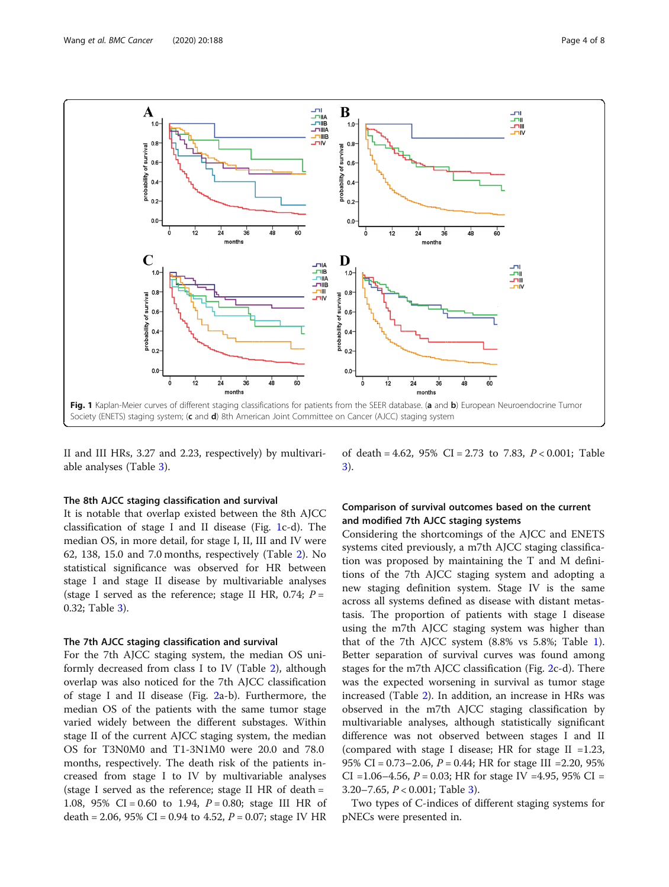<span id="page-3-0"></span>

II and III HRs, 3.27 and 2.23, respectively) by multivariable analyses (Table [3](#page-4-0)).

## The 8th AJCC staging classification and survival

It is notable that overlap existed between the 8th AJCC classification of stage I and II disease (Fig. 1c-d). The median OS, in more detail, for stage I, II, III and IV were 62, 138, 15.0 and 7.0 months, respectively (Table [2\)](#page-2-0). No statistical significance was observed for HR between stage I and stage II disease by multivariable analyses (stage I served as the reference; stage II HR, 0.74;  $P =$ 0.32; Table [3\)](#page-4-0).

## The 7th AJCC staging classification and survival

For the 7th AJCC staging system, the median OS uniformly decreased from class I to IV (Table [2](#page-2-0)), although overlap was also noticed for the 7th AJCC classification of stage I and II disease (Fig. [2](#page-5-0)a-b). Furthermore, the median OS of the patients with the same tumor stage varied widely between the different substages. Within stage II of the current AJCC staging system, the median OS for T3N0M0 and T1-3N1M0 were 20.0 and 78.0 months, respectively. The death risk of the patients increased from stage I to IV by multivariable analyses (stage I served as the reference; stage II HR of death = 1.08, 95% CI = 0.60 to 1.94,  $P = 0.80$ ; stage III HR of death = 2.06, 95% CI = 0.94 to 4.52,  $P = 0.07$ ; stage IV HR

of death = 4.62, 95% CI = 2.73 to 7.83,  $P < 0.001$ ; Table [3\)](#page-4-0).

# Comparison of survival outcomes based on the current and modified 7th AJCC staging systems

Considering the shortcomings of the AJCC and ENETS systems cited previously, a m7th AJCC staging classification was proposed by maintaining the T and M definitions of the 7th AJCC staging system and adopting a new staging definition system. Stage IV is the same across all systems defined as disease with distant metastasis. The proportion of patients with stage I disease using the m7th AJCC staging system was higher than that of the 7th AJCC system (8.8% vs 5.8%; Table [1](#page-2-0)). Better separation of survival curves was found among stages for the m7th AJCC classification (Fig. [2c](#page-5-0)-d). There was the expected worsening in survival as tumor stage increased (Table [2](#page-2-0)). In addition, an increase in HRs was observed in the m7th AJCC staging classification by multivariable analyses, although statistically significant difference was not observed between stages I and II (compared with stage I disease; HR for stage II =  $1.23$ , 95% CI = 0.73–2.06, P = 0.44; HR for stage III =2.20, 95% CI = 1.06–4.56,  $P = 0.03$ ; HR for stage IV = 4.95, 95% CI = 3.20–7.65,  $P < 0.001$ ; Table [3\)](#page-4-0).

Two types of C-indices of different staging systems for pNECs were presented in.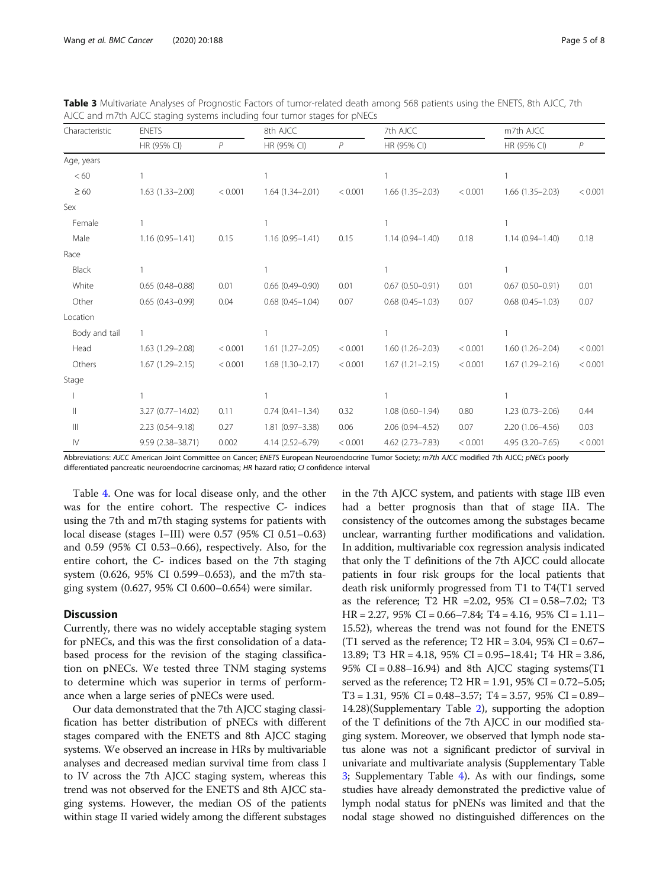| Characteristic                                                                                                                                                                                                                                                                                                                                                                                                                                                                                          | <b>ENETS</b>        |         | 8th AJCC            |         | 7th AJCC               |         | m7th AJCC              |              |
|---------------------------------------------------------------------------------------------------------------------------------------------------------------------------------------------------------------------------------------------------------------------------------------------------------------------------------------------------------------------------------------------------------------------------------------------------------------------------------------------------------|---------------------|---------|---------------------|---------|------------------------|---------|------------------------|--------------|
|                                                                                                                                                                                                                                                                                                                                                                                                                                                                                                         | HR (95% CI)         | P       | HR (95% CI)         | $\,P$   | HR (95% CI)            |         | HR (95% CI)            | $\mathcal P$ |
| Age, years                                                                                                                                                                                                                                                                                                                                                                                                                                                                                              |                     |         |                     |         |                        |         |                        |              |
| < 60                                                                                                                                                                                                                                                                                                                                                                                                                                                                                                    |                     |         |                     |         |                        |         |                        |              |
| $\geq 60$                                                                                                                                                                                                                                                                                                                                                                                                                                                                                               | $1.63(1.33 - 2.00)$ | < 0.001 | $1.64(1.34 - 2.01)$ | < 0.001 | $1.66(1.35 - 2.03)$    | < 0.001 | $1.66(1.35 - 2.03)$    | < 0.001      |
| Sex                                                                                                                                                                                                                                                                                                                                                                                                                                                                                                     |                     |         |                     |         |                        |         |                        |              |
| Female                                                                                                                                                                                                                                                                                                                                                                                                                                                                                                  |                     |         |                     |         |                        |         |                        |              |
| Male                                                                                                                                                                                                                                                                                                                                                                                                                                                                                                    | $1.16(0.95 - 1.41)$ | 0.15    | $1.16(0.95 - 1.41)$ | 0.15    | $1.14(0.94 - 1.40)$    | 0.18    | $1.14(0.94 - 1.40)$    | 0.18         |
| Race                                                                                                                                                                                                                                                                                                                                                                                                                                                                                                    |                     |         |                     |         |                        |         |                        |              |
| Black                                                                                                                                                                                                                                                                                                                                                                                                                                                                                                   |                     |         |                     |         |                        |         |                        |              |
| White                                                                                                                                                                                                                                                                                                                                                                                                                                                                                                   | $0.65(0.48 - 0.88)$ | 0.01    | $0.66(0.49 - 0.90)$ | 0.01    | $0.67(0.50 - 0.91)$    | 0.01    | $0.67(0.50 - 0.91)$    | 0.01         |
| Other                                                                                                                                                                                                                                                                                                                                                                                                                                                                                                   | $0.65(0.43 - 0.99)$ | 0.04    | $0.68(0.45 - 1.04)$ | 0.07    | $0.68$ $(0.45 - 1.03)$ | 0.07    | $0.68$ $(0.45 - 1.03)$ | 0.07         |
| Location                                                                                                                                                                                                                                                                                                                                                                                                                                                                                                |                     |         |                     |         |                        |         |                        |              |
| Body and tail                                                                                                                                                                                                                                                                                                                                                                                                                                                                                           | $\mathbf{1}$        |         |                     |         |                        |         |                        |              |
| Head                                                                                                                                                                                                                                                                                                                                                                                                                                                                                                    | $1.63(1.29 - 2.08)$ | < 0.001 | $1.61(1.27 - 2.05)$ | < 0.001 | $1.60(1.26 - 2.03)$    | < 0.001 | $1.60(1.26 - 2.04)$    | < 0.001      |
| Others                                                                                                                                                                                                                                                                                                                                                                                                                                                                                                  | $1.67(1.29 - 2.15)$ | < 0.001 | $1.68(1.30 - 2.17)$ | < 0.001 | $1.67(1.21 - 2.15)$    | < 0.001 | $1.67(1.29 - 2.16)$    | < 0.001      |
| Stage                                                                                                                                                                                                                                                                                                                                                                                                                                                                                                   |                     |         |                     |         |                        |         |                        |              |
|                                                                                                                                                                                                                                                                                                                                                                                                                                                                                                         |                     |         |                     |         |                        |         |                        |              |
| $\label{eq:1} \prod_{i=1}^n \alpha_i \left  \frac{1}{n} \right  \alpha_i \left  \frac{1}{n} \right  \alpha_i \left  \frac{1}{n} \right  \alpha_i \left  \frac{1}{n} \right  \alpha_i \left  \frac{1}{n} \right  \alpha_i \left  \frac{1}{n} \right  \alpha_i \left  \frac{1}{n} \right  \alpha_i \left  \frac{1}{n} \right  \alpha_i \left  \frac{1}{n} \right  \alpha_i \left  \frac{1}{n} \right  \alpha_i \left  \frac{1}{n} \right  \alpha_i \left  \frac{1}{n} \right  \alpha_i \left  \frac{1}{n$ | 3.27 (0.77-14.02)   | 0.11    | $0.74(0.41 - 1.34)$ | 0.32    | $1.08(0.60 - 1.94)$    | 0.80    | $1.23(0.73 - 2.06)$    | 0.44         |
| $\  \ $                                                                                                                                                                                                                                                                                                                                                                                                                                                                                                 | $2.23(0.54 - 9.18)$ | 0.27    | $1.81(0.97 - 3.38)$ | 0.06    | 2.06 (0.94-4.52)       | 0.07    | 2.20 (1.06-4.56)       | 0.03         |
| $\mathsf{IV}$                                                                                                                                                                                                                                                                                                                                                                                                                                                                                           | 9.59 (2.38-38.71)   | 0.002   | 4.14 (2.52-6.79)    | < 0.001 | 4.62 (2.73-7.83)       | < 0.001 | 4.95 (3.20-7.65)       | < 0.001      |

<span id="page-4-0"></span>Table 3 Multivariate Analyses of Prognostic Factors of tumor-related death among 568 patients using the ENETS, 8th AJCC, 7th AJCC and m7th AJCC staging systems including four tumor stages for pNECs

Abbreviations: AJCC American Joint Committee on Cancer; ENETS European Neuroendocrine Tumor Society; m7th AJCC modified 7th AJCC; pNECs poorly differentiated pancreatic neuroendocrine carcinomas; HR hazard ratio; CI confidence interval

Table [4](#page-5-0). One was for local disease only, and the other was for the entire cohort. The respective C- indices using the 7th and m7th staging systems for patients with local disease (stages I–III) were 0.57 (95% CI 0.51–0.63) and 0.59 (95% CI 0.53–0.66), respectively. Also, for the entire cohort, the C- indices based on the 7th staging system (0.626, 95% CI 0.599–0.653), and the m7th staging system (0.627, 95% CI 0.600–0.654) were similar.

# **Discussion**

Currently, there was no widely acceptable staging system for pNECs, and this was the first consolidation of a databased process for the revision of the staging classification on pNECs. We tested three TNM staging systems to determine which was superior in terms of performance when a large series of pNECs were used.

Our data demonstrated that the 7th AJCC staging classification has better distribution of pNECs with different stages compared with the ENETS and 8th AJCC staging systems. We observed an increase in HRs by multivariable analyses and decreased median survival time from class I to IV across the 7th AJCC staging system, whereas this trend was not observed for the ENETS and 8th AJCC staging systems. However, the median OS of the patients within stage II varied widely among the different substages in the 7th AJCC system, and patients with stage IIB even had a better prognosis than that of stage IIA. The consistency of the outcomes among the substages became unclear, warranting further modifications and validation. In addition, multivariable cox regression analysis indicated that only the T definitions of the 7th AJCC could allocate patients in four risk groups for the local patients that death risk uniformly progressed from T1 to T4(T1 served as the reference; T2 HR =2.02, 95% CI = 0.58–7.02; T3  $HR = 2.27, 95\% \text{ CI} = 0.66 - 7.84; T4 = 4.16, 95\% \text{ CI} = 1.11 -$ 15.52), whereas the trend was not found for the ENETS (T1 served as the reference; T2 HR =  $3.04$ ,  $95\%$  CI =  $0.67-$ 13.89; T3 HR = 4.18, 95% CI = 0.95–18.41; T4 HR = 3.86, 95% CI =  $0.88-16.94$ ) and 8th AJCC staging systems(T1 served as the reference; T2 HR = 1.91, 95% CI = 0.72–5.05; T3 = 1.31, 95% CI = 0.48–3.57; T4 = 3.57, 95% CI = 0.89– 14.28)(Supplementary Table [2\)](#page-6-0), supporting the adoption of the T definitions of the 7th AJCC in our modified staging system. Moreover, we observed that lymph node status alone was not a significant predictor of survival in univariate and multivariate analysis (Supplementary Table [3;](#page-6-0) Supplementary Table [4](#page-6-0)). As with our findings, some studies have already demonstrated the predictive value of lymph nodal status for pNENs was limited and that the nodal stage showed no distinguished differences on the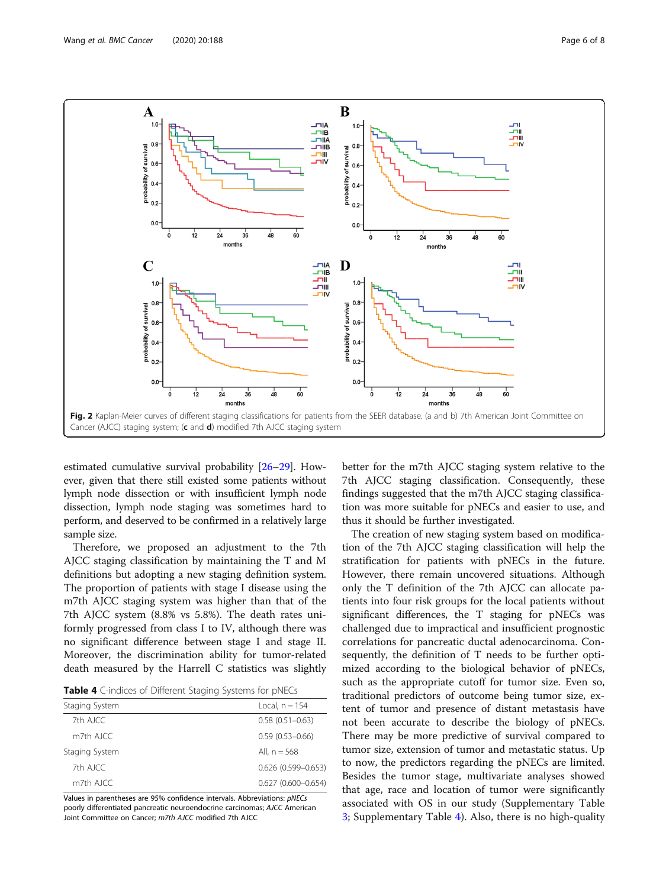<span id="page-5-0"></span>

estimated cumulative survival probability [\[26](#page-7-0)–[29](#page-7-0)]. However, given that there still existed some patients without lymph node dissection or with insufficient lymph node dissection, lymph node staging was sometimes hard to perform, and deserved to be confirmed in a relatively large sample size.

Therefore, we proposed an adjustment to the 7th AJCC staging classification by maintaining the T and M definitions but adopting a new staging definition system. The proportion of patients with stage I disease using the m7th AJCC staging system was higher than that of the 7th AJCC system (8.8% vs 5.8%). The death rates uniformly progressed from class I to IV, although there was no significant difference between stage I and stage II. Moreover, the discrimination ability for tumor-related death measured by the Harrell C statistics was slightly

| Table 4 C-indices of Different Staging Systems for pNECs |  |  |
|----------------------------------------------------------|--|--|
|----------------------------------------------------------|--|--|

| Staging System | Local, $n = 154$       |
|----------------|------------------------|
| 7th AJCC       | $0.58(0.51 - 0.63)$    |
| $m$ 7th AICC   | $0.59(0.53 - 0.66)$    |
| Staging System | All, $n = 568$         |
| 7th AJCC       | $0.626(0.599 - 0.653)$ |
| $m$ 7th AICC   | $0.627(0.600 - 0.654)$ |
|                |                        |

Values in parentheses are 95% confidence intervals. Abbreviations: pNECs poorly differentiated pancreatic neuroendocrine carcinomas; AJCC American Joint Committee on Cancer; m7th AJCC modified 7th AJCC

better for the m7th AJCC staging system relative to the 7th AJCC staging classification. Consequently, these findings suggested that the m7th AJCC staging classification was more suitable for pNECs and easier to use, and thus it should be further investigated.

The creation of new staging system based on modification of the 7th AJCC staging classification will help the stratification for patients with pNECs in the future. However, there remain uncovered situations. Although only the T definition of the 7th AJCC can allocate patients into four risk groups for the local patients without significant differences, the T staging for pNECs was challenged due to impractical and insufficient prognostic correlations for pancreatic ductal adenocarcinoma. Consequently, the definition of T needs to be further optimized according to the biological behavior of pNECs, such as the appropriate cutoff for tumor size. Even so, traditional predictors of outcome being tumor size, extent of tumor and presence of distant metastasis have not been accurate to describe the biology of pNECs. There may be more predictive of survival compared to tumor size, extension of tumor and metastatic status. Up to now, the predictors regarding the pNECs are limited. Besides the tumor stage, multivariate analyses showed that age, race and location of tumor were significantly associated with OS in our study (Supplementary Table [3;](#page-6-0) Supplementary Table [4](#page-6-0)). Also, there is no high-quality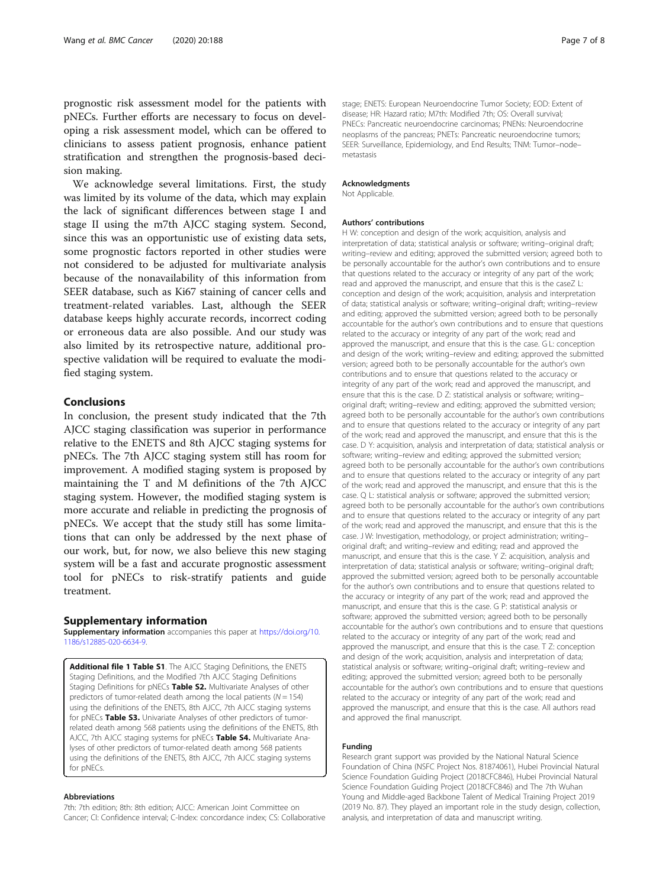<span id="page-6-0"></span>prognostic risk assessment model for the patients with pNECs. Further efforts are necessary to focus on developing a risk assessment model, which can be offered to clinicians to assess patient prognosis, enhance patient stratification and strengthen the prognosis-based decision making.

We acknowledge several limitations. First, the study was limited by its volume of the data, which may explain the lack of significant differences between stage I and stage II using the m7th AJCC staging system. Second, since this was an opportunistic use of existing data sets, some prognostic factors reported in other studies were not considered to be adjusted for multivariate analysis because of the nonavailability of this information from SEER database, such as Ki67 staining of cancer cells and treatment-related variables. Last, although the SEER database keeps highly accurate records, incorrect coding or erroneous data are also possible. And our study was also limited by its retrospective nature, additional prospective validation will be required to evaluate the modified staging system.

# Conclusions

In conclusion, the present study indicated that the 7th AJCC staging classification was superior in performance relative to the ENETS and 8th AJCC staging systems for pNECs. The 7th AJCC staging system still has room for improvement. A modified staging system is proposed by maintaining the T and M definitions of the 7th AJCC staging system. However, the modified staging system is more accurate and reliable in predicting the prognosis of pNECs. We accept that the study still has some limitations that can only be addressed by the next phase of our work, but, for now, we also believe this new staging system will be a fast and accurate prognostic assessment tool for pNECs to risk-stratify patients and guide treatment.

#### Supplementary information

Supplementary information accompanies this paper at [https://doi.org/10.](https://doi.org/10.1186/s12885-020-6634-9) [1186/s12885-020-6634-9.](https://doi.org/10.1186/s12885-020-6634-9)

Additional file 1 Table S1. The AJCC Staging Definitions, the ENETS Staging Definitions, and the Modified 7th AJCC Staging Definitions Staging Definitions for pNECs Table S2. Multivariate Analyses of other predictors of tumor-related death among the local patients ( $N = 154$ ) using the definitions of the ENETS, 8th AJCC, 7th AJCC staging systems for pNECs Table S3. Univariate Analyses of other predictors of tumorrelated death among 568 patients using the definitions of the ENETS, 8th AJCC, 7th AJCC staging systems for pNECs Table S4. Multivariate Analyses of other predictors of tumor-related death among 568 patients using the definitions of the ENETS, 8th AJCC, 7th AJCC staging systems for pNECs.

#### Abbreviations

7th: 7th edition; 8th: 8th edition; AJCC: American Joint Committee on Cancer; CI: Confidence interval; C-Index: concordance index; CS: Collaborative stage; ENETS: European Neuroendocrine Tumor Society; EOD: Extent of disease; HR: Hazard ratio; M7th: Modified 7th; OS: Overall survival; PNECs: Pancreatic neuroendocrine carcinomas; PNENs: Neuroendocrine neoplasms of the pancreas; PNETs: Pancreatic neuroendocrine tumors; SEER: Surveillance, Epidemiology, and End Results; TNM: Tumor–node– metastasis

# Acknowledgments

Not Applicable.

#### Authors' contributions

H W: conception and design of the work; acquisition, analysis and interpretation of data; statistical analysis or software; writing–original draft; writing–review and editing; approved the submitted version; agreed both to be personally accountable for the author's own contributions and to ensure that questions related to the accuracy or integrity of any part of the work; read and approved the manuscript, and ensure that this is the caseZ L: conception and design of the work; acquisition, analysis and interpretation of data; statistical analysis or software; writing–original draft; writing–review and editing; approved the submitted version; agreed both to be personally accountable for the author's own contributions and to ensure that questions related to the accuracy or integrity of any part of the work; read and approved the manuscript, and ensure that this is the case. G L: conception and design of the work; writing–review and editing; approved the submitted version; agreed both to be personally accountable for the author's own contributions and to ensure that questions related to the accuracy or integrity of any part of the work; read and approved the manuscript, and ensure that this is the case. D Z: statistical analysis or software; writing– original draft; writing–review and editing; approved the submitted version; agreed both to be personally accountable for the author's own contributions and to ensure that questions related to the accuracy or integrity of any part of the work; read and approved the manuscript, and ensure that this is the case. D Y: acquisition, analysis and interpretation of data; statistical analysis or software; writing–review and editing; approved the submitted version; agreed both to be personally accountable for the author's own contributions and to ensure that questions related to the accuracy or integrity of any part of the work; read and approved the manuscript, and ensure that this is the case. Q L: statistical analysis or software; approved the submitted version; agreed both to be personally accountable for the author's own contributions and to ensure that questions related to the accuracy or integrity of any part of the work; read and approved the manuscript, and ensure that this is the case. J W: Investigation, methodology, or project administration; writing– original draft; and writing–review and editing; read and approved the manuscript, and ensure that this is the case. Y Z: acquisition, analysis and interpretation of data; statistical analysis or software; writing–original draft; approved the submitted version; agreed both to be personally accountable for the author's own contributions and to ensure that questions related to the accuracy or integrity of any part of the work; read and approved the manuscript, and ensure that this is the case. G P: statistical analysis or software; approved the submitted version; agreed both to be personally accountable for the author's own contributions and to ensure that questions related to the accuracy or integrity of any part of the work; read and approved the manuscript, and ensure that this is the case. T Z: conception and design of the work; acquisition, analysis and interpretation of data; statistical analysis or software; writing–original draft; writing–review and editing; approved the submitted version; agreed both to be personally accountable for the author's own contributions and to ensure that questions related to the accuracy or integrity of any part of the work; read and approved the manuscript, and ensure that this is the case. All authors read and approved the final manuscript.

#### Funding

Research grant support was provided by the National Natural Science Foundation of China (NSFC Project Nos. 81874061), Hubei Provincial Natural Science Foundation Guiding Project (2018CFC846), Hubei Provincial Natural Science Foundation Guiding Project (2018CFC846) and The 7th Wuhan Young and Middle-aged Backbone Talent of Medical Training Project 2019 (2019 No. 87). They played an important role in the study design, collection, analysis, and interpretation of data and manuscript writing.